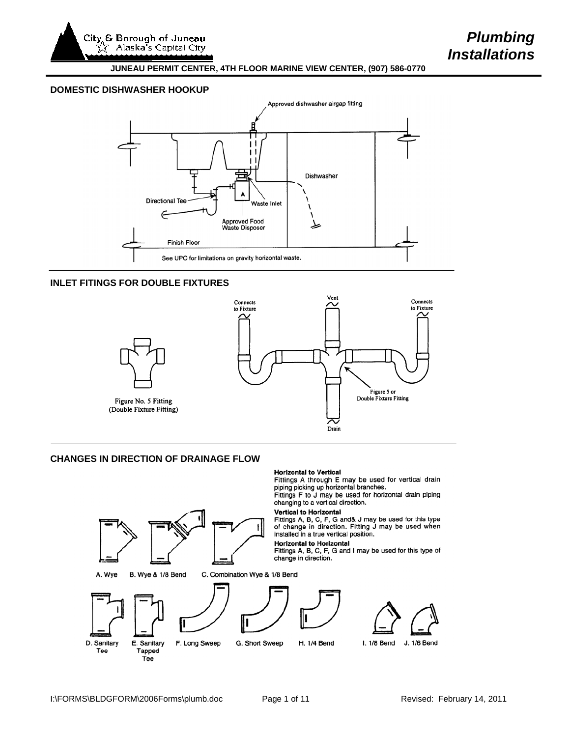City<sub>, &</sub> Borough of Juneau Alaska's Capital City

#### **JUNEAU PERMIT CENTER, 4TH FLOOR MARINE VIEW CENTER, (907) 586-0770**

# **DOMESTIC DISHWASHER HOOKUP**



## **INLET FITINGS FOR DOUBLE FIXTURES**



## **CHANGES IN DIRECTION OF DRAINAGE FLOW**

#### **Horizontal to Vertical**

Fittings A through E may be used for vertical drain<br>piping picking up horizontal branches.<br>Fittings F to J may be used for horizontal drain piping<br>changing to a vertical direction.

## **Vertical to Horizontal**

Fittings A, B, C, F, G and& J may be used for this type<br>of change in direction. Fitting J may be used when<br>installed in a true vertical position.

#### **Horizontal to Horizontal**

Fittings A, B, C, F, G and I may be used for this type of change in direction.

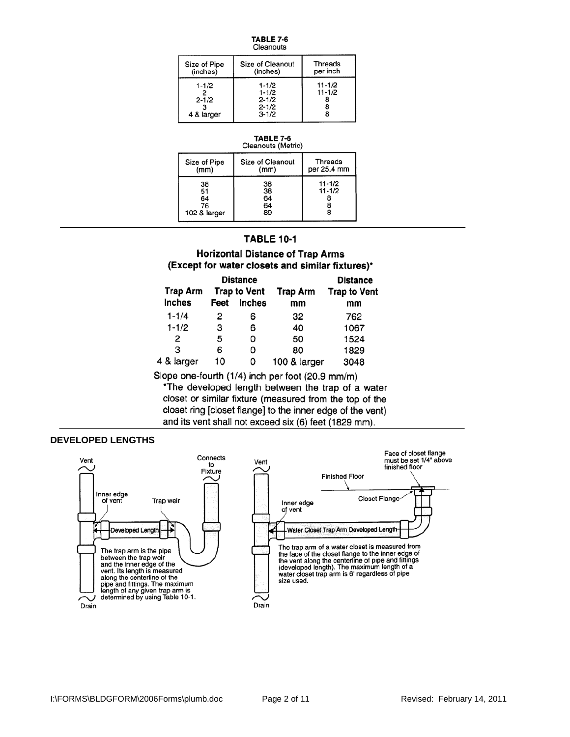| -<br>TABLE 7 |  |
|--------------|--|
|              |  |

| Size of Pipe                         | Size of Cleanout                                              | Threads  |
|--------------------------------------|---------------------------------------------------------------|----------|
| (inches)                             | (inches)                                                      | per inch |
| $1 - 1/2$<br>$2 - 1/2$<br>4 & larger | $1 - 1/2$<br>$1 - 1/2$<br>$2 - 1/2$<br>$2 - 1/2$<br>$3 - 1/2$ |          |

#### **TABLE 7-6** Cleanouts (Metric)

| Size of Pipe<br>(mm)                 | <b>Size of Cleanout</b><br>(mm) | <b>Threads</b><br>per 25.4 mm |
|--------------------------------------|---------------------------------|-------------------------------|
| 38<br>51<br>64<br>76<br>102 & larger | 38<br>38<br>64<br>64<br>89      | $11 - 1/2$<br>$11 - 1/2$      |

# **TABLE 10-1**

# **Horizontal Distance of Trap Arms** (Except for water closets and similar fixtures)\*

| <b>Trap Arm</b> |      | <b>Distance</b><br><b>Trap to Vent</b> | <b>Trap Arm</b> | <b>Distance</b><br><b>Trap to Vent</b> |  |  |
|-----------------|------|----------------------------------------|-----------------|----------------------------------------|--|--|
| <b>Inches</b>   | Feet | <b>Inches</b>                          | mm              | mm                                     |  |  |
| $1 - 1/4$       | 2    | 6                                      | 32              | 762                                    |  |  |
| $1 - 1/2$       | 3    | 6                                      | 40              | 1067                                   |  |  |
| 2               | 5    | 0                                      | 50              | 1524                                   |  |  |
| з               | 6    | 0                                      | 80              | 1829                                   |  |  |
| 4 & larger      | 10   | 0                                      | 100 & larger    | 3048                                   |  |  |

Slope one-fourth (1/4) inch per foot (20.9 mm/m)

\*The developed length between the trap of a water closet or similar fixture (measured from the top of the closet ring [closet flange] to the inner edge of the vent) and its vent shall not exceed six (6) feet (1829 mm).

# **DEVELOPED LENGTHS**

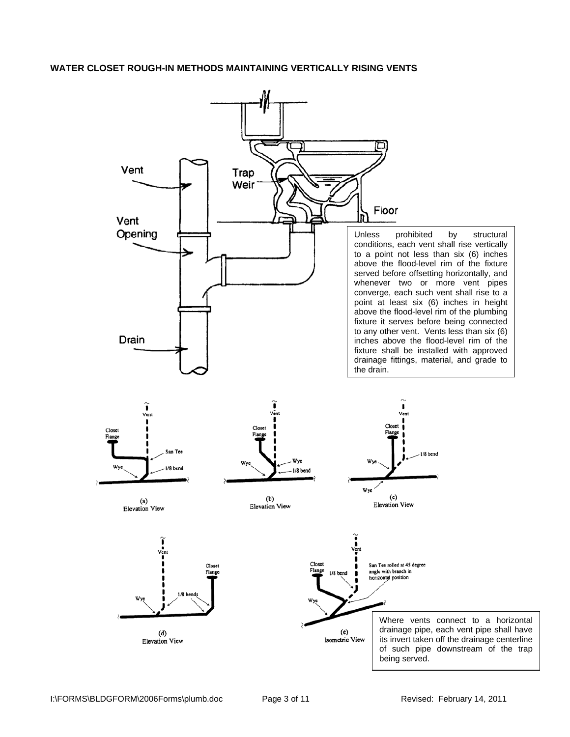## **WATER CLOSET ROUGH-IN METHODS MAINTAINING VERTICALLY RISING VENTS**

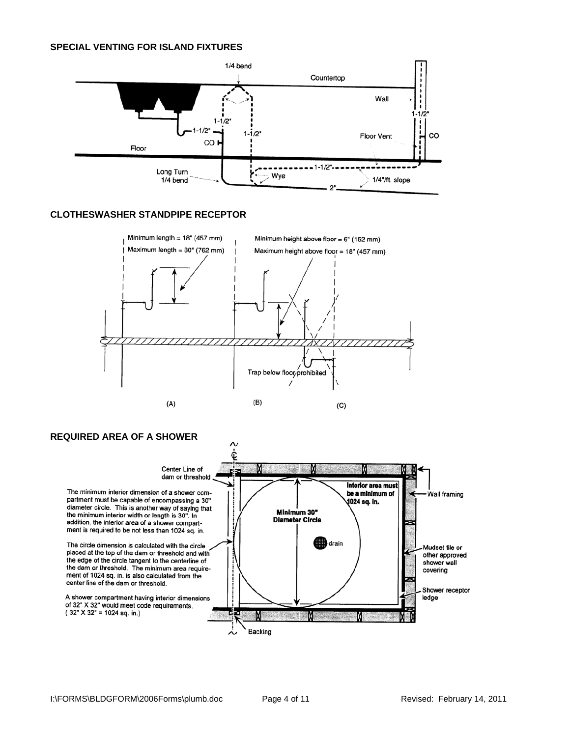

# **CLOTHESWASHER STANDPIPE RECEPTOR**



# **REQUIRED AREA OF A SHOWER**

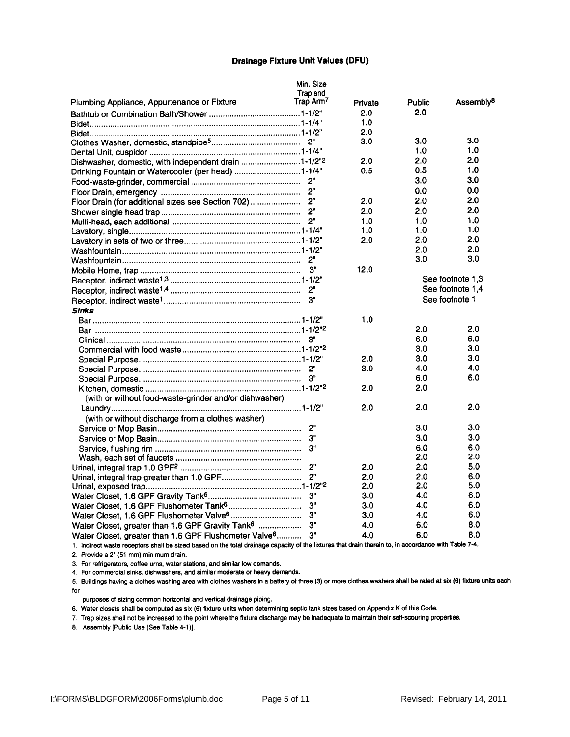#### **Drainage Fixture Unit Values (DFU)**

|                                                                   | Min. Size      |         |        |                       |
|-------------------------------------------------------------------|----------------|---------|--------|-----------------------|
|                                                                   | Trap and       |         |        |                       |
| Plumbing Appliance, Appurtenance or Fixture                       | Trap Arm7      | Private | Public | Assembly <sup>8</sup> |
|                                                                   |                | 2.0     | 2.0    |                       |
|                                                                   |                | 1.0     |        |                       |
|                                                                   |                | 2.0     |        |                       |
|                                                                   |                | 3.0     | 3.0    | 3.0                   |
|                                                                   |                |         | 1.0    | 1.0                   |
| Dishwasher, domestic, with independent drain 1-1/2"2              |                | 2.0     | 2.0    | 2.0                   |
| Drinking Fountain or Watercooler (per head) 1-1/4"                |                | 0.5     | 0.5    | 1.0                   |
|                                                                   | 2"             |         | 3.0    | 3.0                   |
|                                                                   |                |         | 0.0    | 0.0                   |
| Floor Drain (for additional sizes see Section 702)                | 2 <sup>n</sup> | 2.0     | 2.0    | 2.0                   |
|                                                                   | $2^{\circ}$    | 2.0     | 2.0    | 2.0                   |
|                                                                   | 2"             | 1.0     | 1.0    | 1.0                   |
|                                                                   |                | 1.0     | 1.0    | 1.0                   |
|                                                                   |                | 2.0     | 2.0    | 2.0                   |
|                                                                   |                |         | 2.0    | 2.0                   |
|                                                                   | 2"             |         | 3.0    | 3.0                   |
|                                                                   | 3"             | 12.0    |        |                       |
|                                                                   |                |         |        | See footnote 1,3      |
|                                                                   |                |         |        | See footnote 1,4      |
|                                                                   | 3"             |         |        | See footnote 1        |
| <b>Sinks</b>                                                      |                |         |        |                       |
|                                                                   |                | 1.0     |        |                       |
|                                                                   |                |         | 2.0    | 2.0                   |
|                                                                   |                |         | 6.0    | 6.0                   |
|                                                                   |                |         | 3.0    | 3.0                   |
|                                                                   |                |         | 3.0    | 3.0                   |
|                                                                   |                | 2.0     |        | 4.0                   |
|                                                                   |                | 3.0     | 4.0    | 6.0                   |
|                                                                   |                |         | 6.0    |                       |
|                                                                   |                | 2.0     | 2.0    |                       |
| (with or without food-waste-grinder and/or dishwasher)            |                |         |        |                       |
|                                                                   |                | 2.0     | 2.0    | 2.0                   |
| (with or without discharge from a clothes washer)                 |                |         |        |                       |
|                                                                   | 2"             |         | 3.0    | 3.0                   |
|                                                                   | 3"             |         | 3.0    | 3.0                   |
|                                                                   | 3"             |         | 6.0    | 6.0                   |
|                                                                   |                |         | 2.0    | 2.0                   |
|                                                                   |                | 2.0     | 2.0    | 5.0                   |
|                                                                   | 2"             | 2.0     | 2.0    | 6.0                   |
|                                                                   |                | 2.0     | 2.0    | 5.0                   |
|                                                                   | 3"             | 3.0     | 4.0    | 6.0                   |
|                                                                   | 3"             | 3.0     | 4.0    | 6.0                   |
|                                                                   | 3"             | 3.0     | 4.0    | 6.0                   |
| Water Closet, greater than 1.6 GPF Gravity Tank <sup>6</sup>      | 3"             | 4.0     | 6.0    | 8.0                   |
| Water Closet, greater than 1.6 GPF Flushometer Valve <sup>6</sup> | 3"             | 4.0     | 6.0    | 8.0                   |

1. Indirect waste receptors shall be sized based on the total drainage capacity of the fixtures that drain therein to, in accordance with Table 7-4. 2. Provide a 2" (51 mm) minimum drain.

3. For refrigerators, coffee urns, water stations, and similar low demands.

4. For commercial sinks, dishwashers, and similar moderate or heavy demands.

5. Buildings having a clothes washing area with clothes washers in a battery of three (3) or more clothes washers shall be rated at six (6) fixture units each for

purposes of sizing common horizontal and vertical drainage piping.

6. Water closets shall be computed as six (6) fixture units when determining septic tank sizes based on Appendix K of this Code.

7. Trap sizes shall not be increased to the point where the fixture discharge may be inadequate to maintain their self-scouring properties.

8. Assembly [Public Use (See Table 4-1)].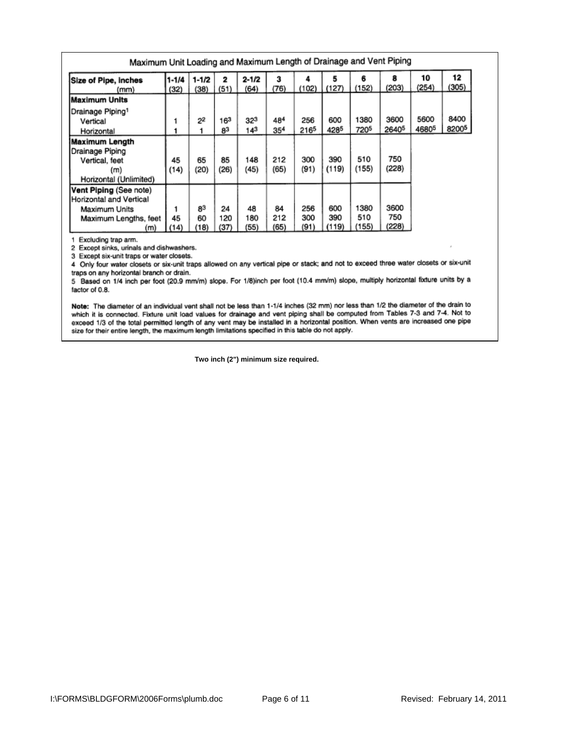| Maximum Unit Loading and Maximum Length of Drainage and Vent Piping                                |                   |                  |                   |                   |                   |                    |                     |                      |                           |               |               |
|----------------------------------------------------------------------------------------------------|-------------------|------------------|-------------------|-------------------|-------------------|--------------------|---------------------|----------------------|---------------------------|---------------|---------------|
| Size of Pipe, inches<br>(mm)                                                                       | $1 - 1/4$<br>(32) | 1-1/2<br>(38)    | 2<br>(51)         | $2 - 1/2$<br>(64) | з<br>(76)         | (102)              | (127)               | 6<br>(152)           | 8<br>(203)                | 10<br>(254)   | 12<br>(305)   |
| Maximum Units                                                                                      |                   |                  |                   |                   |                   |                    |                     |                      |                           |               |               |
| Drainage Piping1<br>Vertical<br>Horizontal                                                         |                   | 22               | 163<br>83         | 323<br>143        | 484<br>354        | 256<br>2165        | 600<br>4285         | 1380<br>7205         | 3600<br>2640 <sup>5</sup> | 5600<br>46805 | 8400<br>82005 |
| Maximum Length<br>Drainage Piping<br>Vertical, feet<br>(m)<br>Horizontal (Unlimited)               | 45<br>(14)        | 65<br>(20)       | 85<br>(26)        | 148<br>(45)       | 212<br>(65)       | 300<br>(91)        | 390<br>(119)        | 510<br>(155)         | 750<br>(228)              |               |               |
| Vent Piping (See note)<br>Horizontal and Vertical<br>Maximum Units<br>Maximum Lengths, feet<br>(m) | 45<br>(14)        | 83<br>60<br>(18) | 24<br>120<br>(37) | 48<br>180<br>(55) | 84<br>212<br>(65) | 256<br>300<br>(91) | 600<br>390<br>(119) | 1380<br>510<br>(155) | 3600<br>750<br>(228)      |               |               |

1 Excluding trap arm.

2 Except sinks, urinals and dishwashers.

3 Except six-unit traps or water closets.

4 Only four water closets or six-unit traps allowed on any vertical pipe or stack; and not to exceed three water closets or six-unit traps on any horizontal branch or drain.

5 Based on 1/4 inch per foot (20.9 mm/m) slope. For 1/8)inch per foot (10.4 mm/m) slope, multiply horizontal fixture units by a factor of 0.8.

Note: The diameter of an individual vent shall not be less than 1-1/4 inches (32 mm) nor less than 1/2 the diameter of the drain to which it is connected. Fixture unit load values for drainage and vent piping shall be computed from Tables 7-3 and 7-4. Not to exceed 1/3 of the total permitted length of any vent may be installed in a horizontal position. When vents are increased one pipe size for their entire length, the maximum length limitations specified in this table do not

**Two inch (2") minimum size required.**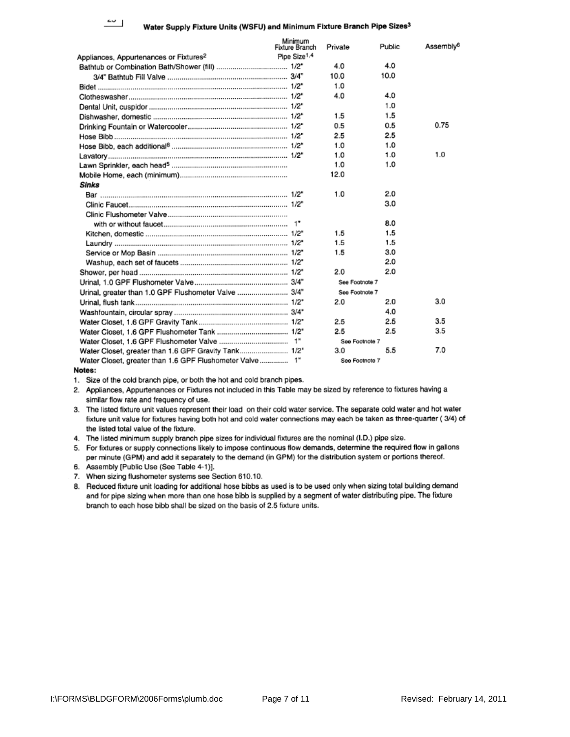## Water Supply Fixture Units (WSFU) and Minimum Fixture Branch Pipe Sizes<sup>3</sup>

|                                                         | Minimum<br><b>Fixture Branch</b> | Private        | Public | Assembly <sup>6</sup> |
|---------------------------------------------------------|----------------------------------|----------------|--------|-----------------------|
| Appliances, Appurtenances or Fixtures <sup>2</sup>      | Pipe Size <sup>1.4</sup>         |                |        |                       |
|                                                         |                                  | 4.0            | 4.0    |                       |
|                                                         |                                  | 10.0           | 10.0   |                       |
|                                                         |                                  | 1.0            |        |                       |
|                                                         |                                  | 4.0            | 4.0    |                       |
|                                                         |                                  |                | 1.0    |                       |
|                                                         |                                  | 1.5            | 1.5    |                       |
|                                                         |                                  | 0.5            | 0.5    | 0.75                  |
|                                                         |                                  | 2.5            | 2.5    |                       |
|                                                         |                                  | 1.0            | 1.0    |                       |
|                                                         |                                  | 1.0            | 1.0    | 1.0                   |
|                                                         |                                  | 1.0            | 1.0    |                       |
|                                                         |                                  | 12.0           |        |                       |
| Sinks                                                   |                                  |                |        |                       |
|                                                         |                                  | 1.0            | 2.0    |                       |
|                                                         |                                  |                | 3.0    |                       |
|                                                         |                                  |                |        |                       |
|                                                         |                                  |                | 8.0    |                       |
|                                                         |                                  | 1.5            | 1.5    |                       |
|                                                         |                                  | 1.5            | 1.5    |                       |
|                                                         |                                  | 1.5            | 3.0    |                       |
|                                                         |                                  |                | 2.0    |                       |
|                                                         |                                  | 2.0            | 2.0    |                       |
|                                                         |                                  | See Footnote 7 |        |                       |
| Urinal, greater than 1.0 GPF Flushometer Valve  3/4"    |                                  | See Footnote 7 |        |                       |
|                                                         |                                  | 2.0            | 2.0    | 3.0                   |
|                                                         |                                  |                | 4.0    |                       |
|                                                         |                                  | 2.5            | 2.5    | 3.5                   |
|                                                         |                                  | 2.5            | 2.5    | 3.5                   |
|                                                         |                                  | See Footnote 7 |        |                       |
| Water Closet, greater than 1.6 GPF Gravity Tank 1/2"    |                                  | 3.0            | 5.5    | 7.0                   |
| Water Closet, greater than 1.6 GPF Flushometer Valve 1" |                                  | See Footnote 7 |        |                       |
|                                                         |                                  |                |        |                       |

Notes:

1. Size of the cold branch pipe, or both the hot and cold branch pipes.

- 2. Appliances, Appurtenances or Fixtures not included in this Table may be sized by reference to fixtures having a similar flow rate and frequency of use.
- 3. The listed fixture unit values represent their load on their cold water service. The separate cold water and hot water fixture unit value for fixtures having both hot and cold water connections may each be taken as three-quarter (3/4) of the listed total value of the fixture.
- 4. The listed minimum supply branch pipe sizes for individual fixtures are the nominal (I.D.) pipe size.

5. For fixtures or supply connections likely to impose continuous flow demands, determine the required flow in gallons per minute (GPM) and add it separately to the demand (in GPM) for the distribution system or portions thereof.

- 6. Assembly [Public Use (See Table 4-1)].
- 7. When sizing flushometer systems see Section 610.10.
- 8. Reduced fixture unit loading for additional hose bibbs as used is to be used only when sizing total building demand and for pipe sizing when more than one hose bibb is supplied by a segment of water distributing pipe. The fixture branch to each hose bibb shall be sized on the basis of 2.5 fixture units.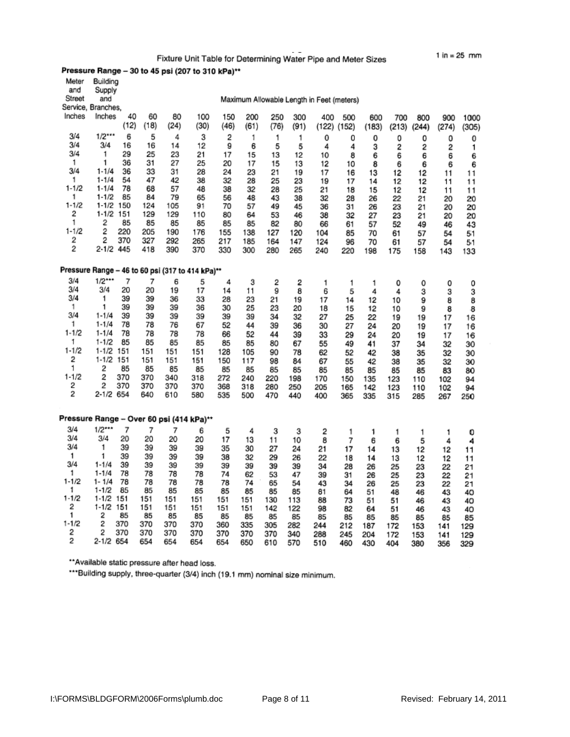Fixture Unit Table for Determining Water Pipe and Meter Sizes

# Pressure Range - 30 to 45 psi (207 to 310 kPa)\*\*

| Meter                                    | Building                                         |            |            |            |            |            |            |            |          |                                           |          |          |          |          |          |          |
|------------------------------------------|--------------------------------------------------|------------|------------|------------|------------|------------|------------|------------|----------|-------------------------------------------|----------|----------|----------|----------|----------|----------|
| and<br>Street                            | Supply<br>and                                    |            |            |            |            |            |            |            |          |                                           |          |          |          |          |          |          |
|                                          | Service, Branches,                               |            |            |            |            |            |            |            |          | Maximum Allowable Length in Feet (meters) |          |          |          |          |          |          |
| Inches                                   | Inches                                           | 40         | 60         | 80         | 100        | 150        | 200        | 250        | 300      | 400                                       | 500      | 600      | 700      | 800      | 900      | 1000     |
|                                          |                                                  | (12)       | (18)       | (24)       | (30)       | (46)       | (61)       | (76)       | (91)     | (122)                                     | (152)    | (183)    | (213)    | (244)    | (274)    | (305)    |
| 3/4                                      | $1/2***$                                         | 6          | 5          | 4          | 3          | 2          | 1          | 1          | 1        | 0                                         | 0        | 0        | 0        | 0        | ٥        | 0        |
| 3/4                                      | 3/4                                              | 16         | 16         | 14         | 12         | 9          | 6          | 5          | 5        | 4                                         | 4        | 3        | 2        | 2        | 2        | 1        |
| 3/4                                      | 1                                                | 29         | 25         | 23         | 21         | 17         | 15         | 13         | 12       | 10                                        | 8        | 6        | 6        | 6        | 6        | 6        |
| 1                                        | 1                                                | 36         | 31         | 27         | 25         | 20         | 17         | 15         | 13       | 12                                        | 10       | 8        | 6        | 6        | 6        | 6        |
| 3/4<br>1                                 | $1 - 1/4$<br>$1 - 1/4$                           | 36<br>54   | 33<br>47   | 31<br>42   | 28         | 24         | 23         | 21         | 19       | 17                                        | 16       | 13       | 12       | 12       | 11       | 11       |
| $1 - 1/2$                                | $1 - 1/4$                                        | 78         | 68         | 57         | 38<br>48   | 32<br>38   | 28<br>32   | 25<br>28   | 23<br>25 | 19<br>21                                  | 17<br>18 | 14<br>15 | 12<br>12 | 12<br>12 | 11       | 11       |
| 1                                        | $1 - 1/2$                                        | 85         | 84         | 79         | 65         | 56         | 48         | 43         | 38       | 32                                        | 28       | 26       | 22       | 21       | 11<br>20 | 11<br>20 |
| $1 - 1/2$                                | $1 - 1/2$                                        | 150        | 124        | 105        | 91         | 70         | 57         | 49         | 45       | 36                                        | 31       | 26       | 23       | 21       | 20       | 20       |
| 2                                        | $1 - 1/2$                                        | 151        | 129        | 129        | 110        | 80         | 64         | 53         | 46       | 38                                        | 32       | 27       | 23       | 21       | 20       | 20       |
| 1                                        | 2                                                | 85         | 85         | 85         | 85         | 85         | 85         | 82         | 80       | 66                                        | 61       | 57       | 52       | 49       | 46       | 43       |
| $1 - 1/2$                                | 2                                                | 220        | 205        | 190        | 176        | 155        | 138        | 127        | 120      | 104                                       | 85       | 70       | 61       | 57       | 54       | 51       |
| 2<br>2                                   | 2                                                | 370        | 327        | 292        | 265        | 217        | 185        | 164        | 147      | 124                                       | 96       | 70       | 61       | 57       | 54       | 51       |
|                                          | $2 - 1/2$                                        | 445        | 418        | 390        | 370        | 330        | 300        | 280        | 265      | 240                                       | 220      | 198      | 175      | 158      | 143      | 133      |
|                                          | Pressure Range - 46 to 60 psi (317 to 414 kPa)** |            |            |            |            |            |            |            |          |                                           |          |          |          |          |          |          |
| 3/4                                      | $1/2$ ***                                        | 7          |            |            |            |            |            |            |          |                                           |          |          |          |          |          |          |
| 3/4                                      | 3/4                                              | 20         | 7<br>20    | 6<br>19    | 5<br>17    | 4<br>14    | 3<br>11    | 2<br>9     | 2<br>8   | 1<br>6                                    | 1<br>5   | 1<br>4   | 0<br>4   | 0        | 0        | 0        |
| 3/4                                      | 1                                                | 39         | 39         | 36         | 33         | 28         | 23         | 21         | 19       | 17                                        | 14       | 12       | 10       | 3<br>9   | 3<br>8   | 3<br>8   |
| 1.                                       | 1                                                | 39         | 39         | 39         | 36         | 30         | 25         | 23         | 20       | 18                                        | 15       | 12       | 10       | 9        | 8        | 8        |
| 3/4                                      | $1 - 1/4$                                        | 39         | 39         | 39         | 39         | 39         | 39         | 34         | 32       | 27                                        | 25       | 22       | 19       | 19       | 17       | 16       |
| 1                                        | $1 - 1/4$                                        | 78         | 78         | 76         | 67         | 52         | 44         | 39         | 36       | 30                                        | 27       | 24       | 20       | 19       | 17       | 16       |
| $1 - 1/2$                                | $1 - 1/4$                                        | 78         | 78         | 78         | 78         | 66         | 52         | 44         | 39       | 33                                        | 29       | 24       | 20       | 19       | 17       | 16       |
| 1<br>1-1/2                               | $1 - 1/2$<br>$1 - 1/2$                           | 85<br>151  | 85<br>151  | 85<br>151  | 85         | 85         | 85         | 80         | 67       | 55                                        | 49       | 41       | 37       | 34       | 32       | 30       |
| 2                                        | $1 - 1/2$                                        | 151        | 151        | 151        | 151<br>151 | 128<br>150 | 105<br>117 | 90<br>98   | 78<br>84 | 62<br>67                                  | 52<br>55 | 42<br>42 | 38<br>38 | 35<br>35 | 32       | 30       |
| 1                                        | 2                                                | 85         | 85         | 85         | 85         | 85         | 85         | 85         | 85       | 85                                        | 85       | 85       | 85       | 85       | 32<br>83 | 30<br>80 |
| $1 - 1/2$                                | 2                                                | 370        | 370        | 340        | 318        | 272        | 240        | 220        | 198      | 170                                       | 150      | 135      | 123      | 110      | 102      | 94       |
| 2                                        | 2                                                | 370        | 370        | 370        | 370        | 368        | 318        | 280        | 250      | 205                                       | 165      | 142      | 123      | 110      | 102      | 94       |
| 2                                        | 2-1/2 654                                        |            | 640        | 610        | 580        | 535        | 500        | 470        | 440      | 400                                       | 365      | 335      | 315      | 285      | 267      | 250      |
|                                          |                                                  |            |            |            |            |            |            |            |          |                                           |          |          |          |          |          |          |
| Pressure Range - Over 60 psi (414 kPa)** |                                                  |            |            |            |            |            |            |            |          |                                           |          |          |          |          |          |          |
| 3/4                                      | $1/2$ ***                                        | 7          | 7          | 7          | 6          | 5          | 4          | 3          | 3        | 2                                         | 1        | 1        | 1        | 1        | 1        | 0        |
| 3/4                                      | 3/4                                              | 20         | 20         | 20         | 20         | 17         | 13         | 11         | 10       | 8                                         | 7        | 6        | 6        | 5        | 4        | 4        |
| 3/4                                      | 1                                                | 39         | 39         | 39         | 39         | 35         | 30         | 27         | 24       | 21                                        | 17       | 14       | 13       | 12       | 12       | 11       |
| 1                                        | 1                                                | 39         | 39         | 39         | 39         | 38         | 32         | 29         | 26       | 22                                        | 18       | 14       | 13       | 12       | 12       | 11       |
| 3/4<br>1                                 | $1 - 1/4$<br>$1 - 1/4$                           | 39<br>78   | 39         | 39         | 39         | 39         | 39         | 39         | 39       | 34                                        | 28       | 26       | 25       | 23       | 22       | 21       |
| $1 - 1/2$                                | 1-1/4                                            | 78         | 78<br>78   | 78<br>78   | 78<br>78   | 74<br>78   | 62<br>74   | 53<br>65   | 47<br>54 | 39<br>43                                  | 31       | 26       | 25       | 23       | 22       | 21       |
| 1                                        | $1 - 1/2$                                        | 85         | 85         | 85         | 85         | 85         | 85         | 85         | 85       | 81                                        | 34<br>64 | 26<br>51 | 25<br>48 | 23<br>46 | 22<br>43 | 21<br>40 |
| $1 - 1/2$                                | $1 - 1/2$ 151                                    |            | 151        | 151        | 151        | 151        | 151        | 130        | 113      | 88                                        | 73       | 51       | 51       | 46       | 43       | 40       |
| 2                                        | $1-1/2$ 151                                      |            | 151        | 151        | 151        | 151        | 151        | 142        | 122      | 98                                        | 82       | 64       | 51       | 46       | 43       | 40       |
| 1                                        | 2                                                | 85         | 85         | 85         | 85         | 85         | 85         | 85         | 85       | 85                                        | 85       | 85       | 85       | 85       | 85       | 85       |
| $1 - 1/2$<br>2                           | 2<br>2                                           | 370<br>370 | 370        | 370        | 370        | 360        | 335        | 305        | 282      | 244                                       | 212      | 187      | 172      | 153      | 141      | 129      |
| 2                                        | 2-1/2                                            | 654        | 370<br>654 | 370<br>654 | 370<br>654 | 370<br>654 | 370<br>650 | 370<br>610 | 340      | 288                                       | 245      | 204      | 172      | 153      | 141      | 129      |
|                                          |                                                  |            |            |            |            |            |            |            | 570      | 510                                       | 460      | 430      | 404      | 380      | 356      | 329      |

\*\* Available static pressure after head loss.

\*\*\*Building supply, three-quarter (3/4) inch (19.1 mm) nominal size minimum.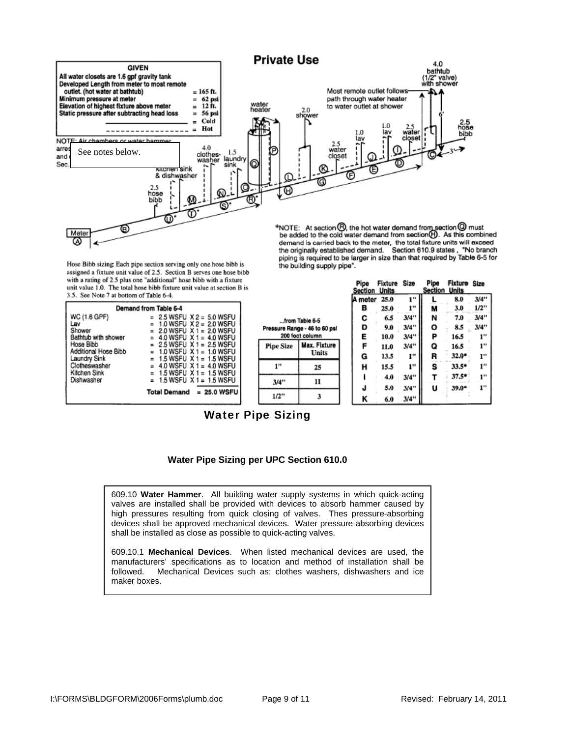

Hose Bibb sizing: Each pipe section serving only one hose bibb is assigned a fixture unit value of 2.5. Section B serves one hose bibb with a rating of 2.5 plus one "additional" hose bibb with a fixture unit value 1.0. The total hose bibb fixture unit value at section B is 3.5. See Note 7 at bottom of Table 6-4.

| Demand from Table 6-4 |                                      |  |  |  |  |  |  |  |
|-----------------------|--------------------------------------|--|--|--|--|--|--|--|
| WC (1.6 GPF)          | $= 2.5$ WSFU $X2 = 5.0$ WSFU         |  |  |  |  |  |  |  |
| Lav                   | 1.0 WSFU X 2 = 2.0 WSFU              |  |  |  |  |  |  |  |
| Shower                | 2.0 WSFU $X$ 1 = 2.0 WSFU            |  |  |  |  |  |  |  |
| Bathtub with shower   | 4.0 WSFU $X = 4.0$ WSFU<br>E.        |  |  |  |  |  |  |  |
| Hose Bibb             | $= 2.5$ WSFU $X$ 1 $= 2.5$ WSFU      |  |  |  |  |  |  |  |
| Additional Hose Bibb  | 1.0 WSFU $X = 1.0$ WSFU              |  |  |  |  |  |  |  |
| Laundry Sink          | $= 1.5$ WSFU $X1 = 1.5$ WSFU         |  |  |  |  |  |  |  |
| Clotheswasher         | $= 4.0$ WSFU X 1 = 4.0 WSFU          |  |  |  |  |  |  |  |
| Kitchen Sink          | $= 1.5$ WSFU $\times$ 1 $= 1.5$ WSFU |  |  |  |  |  |  |  |
| Dishwasher            | 1.5 WSFU $X$ 1 = 1.5 WSFU            |  |  |  |  |  |  |  |
|                       | <b>Total Demand</b><br>$= 25.0$ WSFU |  |  |  |  |  |  |  |

| from Table 6-5<br>Pressure Range - 46 to 60 psi<br>200 foot column |                       |  |  |  |  |
|--------------------------------------------------------------------|-----------------------|--|--|--|--|
| <b>Pipe Size</b>                                                   | Max. Fixture<br>Units |  |  |  |  |
|                                                                    | 25                    |  |  |  |  |
| 3/4"                                                               | 11                    |  |  |  |  |
| 1/2"                                                               | з                     |  |  |  |  |

the building supply pipe".

| Pipe<br><b>Section Units</b> | <b>Fixture Size</b> |                 | Pipe<br><b>Section</b> | <b>Fixture Size</b><br>Units |      |
|------------------------------|---------------------|-----------------|------------------------|------------------------------|------|
| A meter                      | 25.0                | 1 <sup>11</sup> |                        | 8.0                          | 3/4" |
| в                            | 25.0                | 1"              | M                      | 3.0                          | 1/2" |
| c                            | 6.5                 | 3/4"            | N                      | 7.0                          | 3/4" |
| D                            | 9.0                 | 3/4"            | о                      | 8.5                          | 3/4" |
| E                            | 10.0                | 3/4"            | P                      | 16.5                         | 1"   |
| F                            | 11.0                | 3/4"            | Q                      | 16.5                         | 1"   |
| G                            | 13.5                | ı"              | R                      | $32.0*$                      | ı"   |
| Н                            | 15.5                | ı"              | s                      | $33.5*$                      | 1"   |
|                              | 4.0                 | 3/4"            |                        | $37.5*$                      | 1"   |
| J                            | 5.0                 | 3/4"            | u                      | $39.0*$                      | 1"   |
| κ                            | 6.0                 | 3/4"            |                        |                              |      |

Water Pipe Sizing

# **Water Pipe Sizing per UPC Section 610.0**

609.10 **Water Hammer**. All building water supply systems in which quick-acting valves are installed shall be provided with devices to absorb hammer caused by high pressures resulting from quick closing of valves. Thes pressure-absorbing devices shall be approved mechanical devices. Water pressure-absorbing devices shall be installed as close as possible to quick-acting valves.

609.10.1 **Mechanical Devices**. When listed mechanical devices are used, the manufacturers' specifications as to location and method of installation shall be followed. Mechanical Devices such as: clothes washers, dishwashers and ice maker boxes.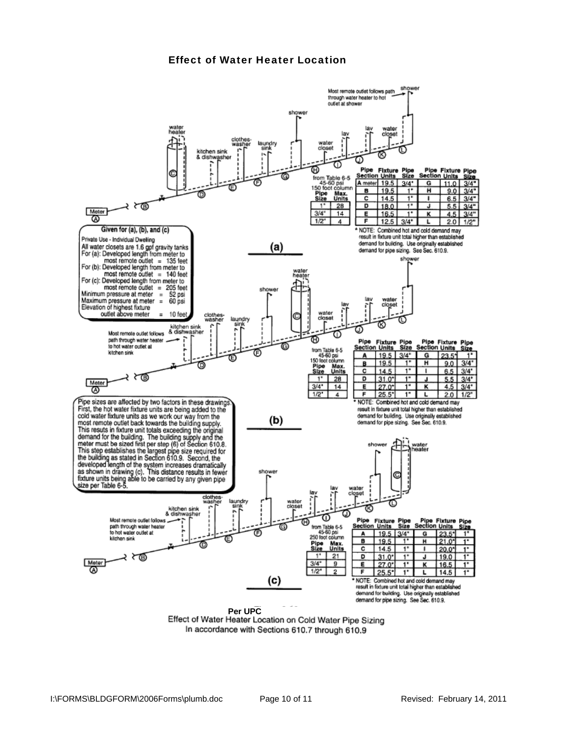# Effect of Water Heater Location